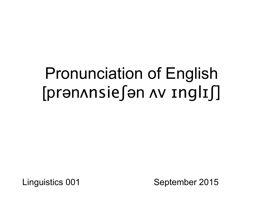# Pronunciation of English [prənʌnsieʃən ʌv ɪnglɪʃ]

Linguistics 001 September 2015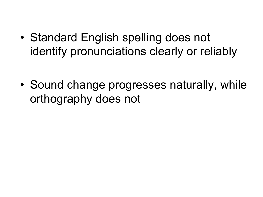• Standard English spelling does not identify pronunciations clearly or reliably

• Sound change progresses naturally, while orthography does not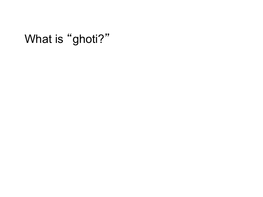## What is "ghoti?"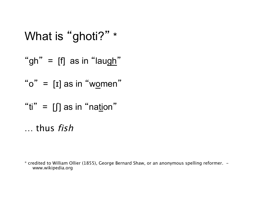What is "ghoti?" \* "gh" =  $\text{[f]}$  as in "laugh" " $o" = [I]$  as in "women" "ti" =  $\iint$  as in "nation" … thus fish

\* credited to William Ollier (1855), George Bernard Shaw, or an anonymous spelling reformer. www.wikipedia.org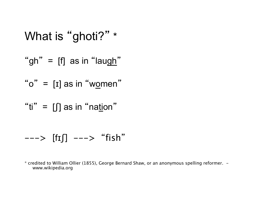What is "ghoti?" \* "gh" = [f] as in "laugh" " o " = [ɪ] as in " women " "ti" = [ʃ] as in " nation "

$$
\dashrightarrow [f\texttt{I}]] \dashrightarrow "fish"
$$

\* credited to William Ollier (1855), George Bernard Shaw, or an anonymous spelling reformer. www.wikipedia.org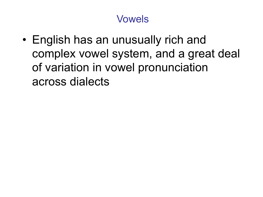• English has an unusually rich and complex vowel system, and a great deal of variation in vowel pronunciation across dialects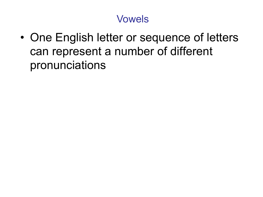• One English letter or sequence of letters can represent a number of different pronunciations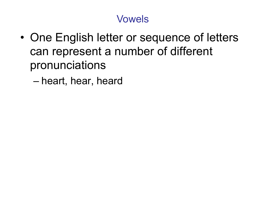- One English letter or sequence of letters can represent a number of different pronunciations
	- heart, hear, heard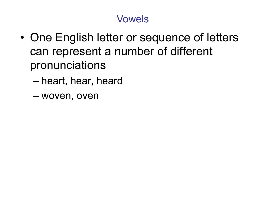- One English letter or sequence of letters can represent a number of different pronunciations
	- heart, hear, heard
	- woven, oven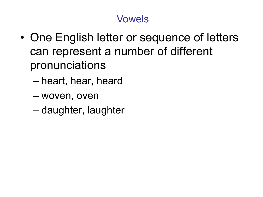- One English letter or sequence of letters can represent a number of different pronunciations
	- heart, hear, heard
	- woven, oven
	- daughter, laughter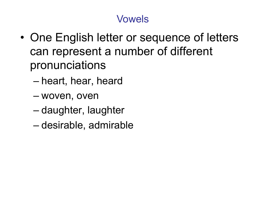- One English letter or sequence of letters can represent a number of different pronunciations
	- heart, hear, heard
	- woven, oven
	- daughter, laughter
	- desirable, admirable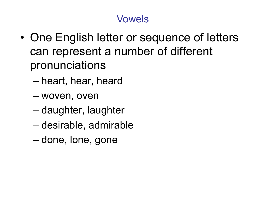- One English letter or sequence of letters can represent a number of different pronunciations
	- heart, hear, heard
	- woven, oven
	- daughter, laughter
	- desirable, admirable
	- done, lone, gone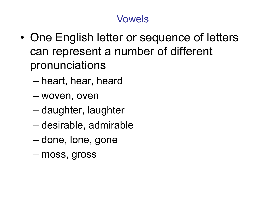- One English letter or sequence of letters can represent a number of different pronunciations
	- heart, hear, heard
	- woven, oven
	- daughter, laughter
	- desirable, admirable
	- done, lone, gone
	- moss, gross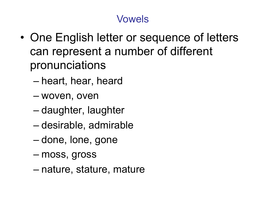- One English letter or sequence of letters can represent a number of different pronunciations
	- heart, hear, heard
	- woven, oven
	- daughter, laughter
	- desirable, admirable
	- done, lone, gone
	- moss, gross
	- nature, stature, mature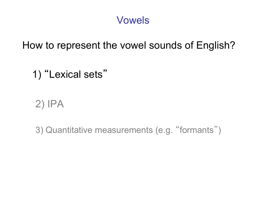How to represent the vowel sounds of English?

1) "Lexical sets"

2) IPA

3) Quantitative measurements (e.g. "formants")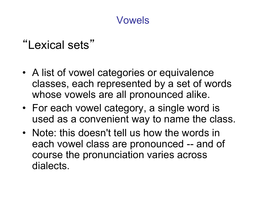## "Lexical sets"

- A list of vowel categories or equivalence classes, each represented by a set of words whose vowels are all pronounced alike.
- For each vowel category, a single word is used as a convenient way to name the class.
- Note: this doesn't tell us how the words in each vowel class are pronounced -- and of course the pronunciation varies across dialects.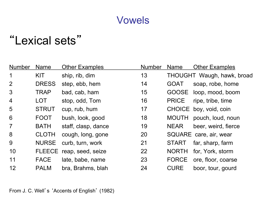## "Lexical sets"

| <b>Name</b>  | <b>Other Examples</b> | <b>Number</b> | <b>Name</b>  | <b>Other Examples</b>      |
|--------------|-----------------------|---------------|--------------|----------------------------|
| <b>KIT</b>   | ship, rib, dim        | 13            |              | THOUGHT Waugh, hawk, broad |
| <b>DRESS</b> | step, ebb, hem        | 14            | <b>GOAT</b>  | soap, robe, home           |
| <b>TRAP</b>  | bad, cab, ham         | 15            | <b>GOOSE</b> | loop, mood, boom           |
| <b>LOT</b>   | stop, odd, Tom        | 16            | <b>PRICE</b> | ripe, tribe, time          |
| <b>STRUT</b> | cup, rub, hum         | 17            |              | CHOICE boy, void, coin     |
| <b>FOOT</b>  | bush, look, good      | 18            | <b>MOUTH</b> | pouch, loud, noun          |
| <b>BATH</b>  | staff, clasp, dance   | 19            | <b>NEAR</b>  | beer, weird, fierce        |
| <b>CLOTH</b> | cough, long, gone     | 20            |              | SQUARE care, air, wear     |
| <b>NURSE</b> | curb, turn, work      | 21            | <b>START</b> | far, sharp, farm           |
|              | reap, seed, seize     | 22            | <b>NORTH</b> | for, York, storm           |
| <b>FACE</b>  | late, babe, name      | 23            | <b>FORCE</b> | ore, floor, coarse         |
| <b>PALM</b>  | bra, Brahms, blah     | 24            | <b>CURE</b>  | boor, tour, gourd          |
|              |                       | <b>FLEECE</b> |              |                            |

From J. C. Well's 'Accents of English' (1982)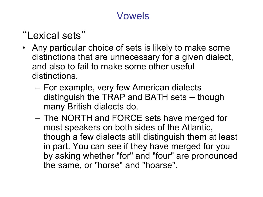## "Lexical sets"

- Any particular choice of sets is likely to make some distinctions that are unnecessary for a given dialect, and also to fail to make some other useful distinctions.
	- For example, very few American dialects distinguish the TRAP and BATH sets -- though many British dialects do.
	- The NORTH and FORCE sets have merged for most speakers on both sides of the Atlantic, though a few dialects still distinguish them at least in part. You can see if they have merged for you by asking whether "for" and "four" are pronounced the same, or "horse" and "hoarse".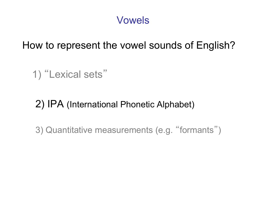How to represent the vowel sounds of English?

1) "Lexical sets"

2) IPA (International Phonetic Alphabet)

3) Quantitative measurements (e.g. "formants")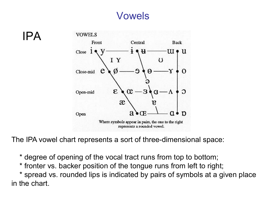



The IPA vowel chart represents a sort of three-dimensional space:

\* degree of opening of the vocal tract runs from top to bottom;

\* fronter vs. backer position of the tongue runs from left to right;

 \* spread vs. rounded lips is indicated by pairs of symbols at a given place in the chart.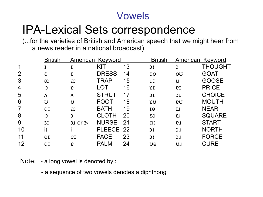## IPA-Lexical Sets correspondence

(...for the varieties of British and American speech that we might hear from a news reader in a national broadcast)

|                | <b>British</b> | American Keyword |              |    | <b>British</b> | American Keyword |                |
|----------------|----------------|------------------|--------------|----|----------------|------------------|----------------|
| 1              |                |                  | KIT          | 13 | C              | C                | <b>THOUGHT</b> |
| $\overline{2}$ | ε              | ε                | <b>DRESS</b> | 14 | 90             | OU               | <b>GOAT</b>    |
| 3              | æ              | æ                | TRAP         | 15 | <b>UI</b>      | u                | <b>GOOSE</b>   |
| 4              | D              | P                | LOT          | 16 | <b>PI</b>      | <b>PI</b>        | <b>PRICE</b>   |
| 5              | Λ              | $\Lambda$        | <b>STRUT</b> | 17 | IC             | IC               | <b>CHOICE</b>  |
| 6              | U              | U                | <b>FOOT</b>  | 18 | <b>PU</b>      | <b>PU</b>        | <b>MOUTH</b>   |
| $\overline{7}$ | <b>a</b>       | æ                | <b>BATH</b>  | 19 | EI             | IJ               | <b>NEAR</b>    |
| 8              | $\mathsf{D}$   | $\mathbf{C}$     | CLOTH        | 20 | $\epsilon$ a   | L3               | <b>SQUARE</b>  |
| 9              | 3 <sub>x</sub> | $3J$ Or $3J$     | <b>NURSE</b> | 21 | Q <sub>x</sub> | <b>LS</b>        | <b>START</b>   |
| 10             | ix             |                  | FLEECE 22    |    | C              | LC               | <b>NORTH</b>   |
| 11             | er             | er               | <b>FACE</b>  | 23 | C              | LC               | <b>FORCE</b>   |
| 12             | <b>a</b>       | P                | <b>PALM</b>  | 24 | UƏ             | IJ               | <b>CURE</b>    |

Note: - a long vowel is denoted by x

- a sequence of two vowels denotes a diphthong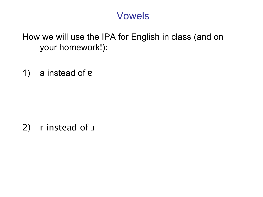How we will use the IPA for English in class (and on your homework!):

1) a instead of ɐ

2) r instead of  $\mu$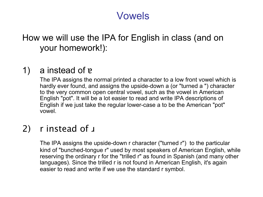#### How we will use the IPA for English in class (and on your homework!):

#### 1) a instead of ɐ

The IPA assigns the normal printed a character to a low front vowel which is hardly ever found, and assigns the upside-down a (or "turned a ") character to the very common open central vowel, such as the vowel in American English "pot". It will be a lot easier to read and write IPA descriptions of English if we just take the regular lower-case a to be the American "pot" vowel.

#### 2) r instead of  $\mu$

The IPA assigns the upside-down r character ("turned r") to the particular kind of "bunched-tongue r" used by most speakers of American English, while reserving the ordinary r for the "trilled r" as found in Spanish (and many other languages). Since the trilled r is not found in American English, it's again easier to read and write if we use the standard r symbol.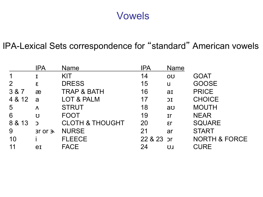#### IPA-Lexical Sets correspondence for "standard" American vowels

|        | <b>IPA</b>   | <b>Name</b>                | <b>IPA</b> | <b>Name</b>  |                          |
|--------|--------------|----------------------------|------------|--------------|--------------------------|
|        |              | <b>KIT</b>                 | 14         | OU           | <b>GOAT</b>              |
| 2      | ε            | <b>DRESS</b>               | 15         | U            | <b>GOOSE</b>             |
| 3 & 7  | æ            | <b>TRAP &amp; BATH</b>     | 16         | aI           | <b>PRICE</b>             |
| 4 & 12 | a            | LOT & PALM                 | 17         | IC           | <b>CHOICE</b>            |
| 5      | $\Lambda$    | <b>STRUT</b>               | 18         | au           | <b>MOUTH</b>             |
| 6      | $\mathbf U$  | <b>FOOT</b>                | 19         | $\mathbf{r}$ | <b>NEAR</b>              |
| 8 & 13 | $\mathbf{C}$ | <b>CLOTH &amp; THOUGHT</b> | 20         | $\epsilon$ r | <b>SQUARE</b>            |
| 9      | $3r$ or $3r$ | <b>NURSE</b>               | 21         | ar           | <b>START</b>             |
| 10     |              | <b>FLEECE</b>              | 22 & 23 pr |              | <b>NORTH &amp; FORCE</b> |
| 11     | er           | <b>FACE</b>                | 24         | UJ           | <b>CURE</b>              |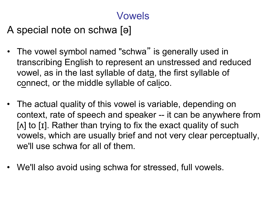A special note on schwa [ə]

- The vowel symbol named "schwa" is generally used in transcribing English to represent an unstressed and reduced vowel, as in the last syllable of data, the first syllable of connect, or the middle syllable of calico.
- The actual quality of this vowel is variable, depending on context, rate of speech and speaker -- it can be anywhere from [ $\Lambda$ ] to [I]. Rather than trying to fix the exact quality of such vowels, which are usually brief and not very clear perceptually, we'll use schwa for all of them.
- We'll also avoid using schwa for stressed, full vowels.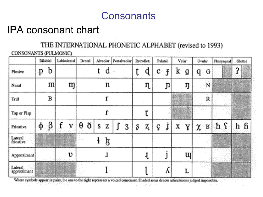## IPA consonant chart

#### THE INTERNATIONAL PHONETIC ALPHABET (revised to 1993)

CONSONANTS (PULMONIC)

|                        |    | Bilabial |   | Labiodental |   | Dental |   |   | Alveolar   Postalveolar |   |   | Retroflex. | Palatal |    |   | Velar |   | Uvular  |     | Pharyngeal | Glottal |  |
|------------------------|----|----------|---|-------------|---|--------|---|---|-------------------------|---|---|------------|---------|----|---|-------|---|---------|-----|------------|---------|--|
| Plosive                | p  | b        |   |             |   |        |   | d | W,                      |   | t | d          | c.      | Ĵ  | k | g     | q | G       |     |            | 2       |  |
| Nasal                  |    | m        |   | m           |   |        |   | n |                         |   |   | η          |         | Jı |   | ŋ     |   | 'N      |     |            |         |  |
| Trill                  |    | В        |   |             |   |        |   |   |                         |   |   |            |         |    |   |       |   | R       |     |            |         |  |
| Tap or Flap            |    |          |   |             |   |        |   |   |                         |   |   | τ          |         |    |   |       |   |         |     |            |         |  |
| Fricative              | ф. | β        | f | v           | θ | ð      | S | z |                         | 3 | ş | z,         | ç       | j  | X | Y     |   | $x_{R}$ | ከ ና |            | hfi     |  |
| Lateral<br>fricative   |    |          |   |             |   |        |   | ķ |                         |   |   |            |         |    |   |       |   |         |     |            |         |  |
| Approximant            |    |          |   | υ           |   |        |   | 1 |                         |   |   |            |         |    |   | щ     |   |         |     |            |         |  |
| Lateral<br>approximant |    |          |   |             |   |        |   |   |                         |   |   |            |         | л  |   | L     |   |         |     |            |         |  |

Where symbols appear in pairs, the one to the right represents a voiced consonant. Shaded areas denote articulations judged impossible,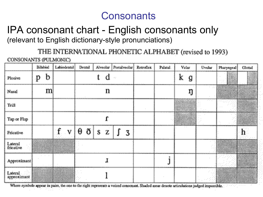#### IPA consonant chart - English consonants only (relevant to English dictionary-style pronunciations)

THE INTERNATIONAL PHONETIC ALPHABET (revised to 1993)

CONSONANTS (PULMONIC)

|                        | Bilabial | Labiodental | Dental |        | Alveolar Postalveolar        | Retroflex | Palatal. | Velar  | Uvular | Pharyngeal | Glottal |  |
|------------------------|----------|-------------|--------|--------|------------------------------|-----------|----------|--------|--------|------------|---------|--|
| Plosive                | b<br>p   |             |        | d      |                              |           |          | k<br>g |        |            |         |  |
| Nasal                  | m        |             |        | n      |                              |           |          | ŋ      |        |            |         |  |
| Trill                  |          |             |        |        |                              |           |          |        | .      |            |         |  |
| Tap or Flap            |          |             |        |        |                              |           |          |        |        |            |         |  |
| Fricative              |          | f<br>v      | ð<br>θ | s<br>Z | ſ<br>$\overline{\mathbf{3}}$ |           |          |        |        |            | h       |  |
| Lateral<br>fricative   |          |             |        |        |                              |           |          |        |        |            |         |  |
| Approximant            |          | . .         |        |        |                              |           |          |        |        |            |         |  |
| Lateral<br>approximant |          |             |        |        |                              |           |          |        |        |            |         |  |

Where symbols appear in pairs, the one to the right represents a voiced consonant. Shaded areas denote articulations judged impossible.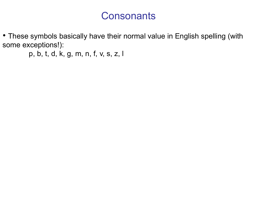• These symbols basically have their normal value in English spelling (with some exceptions!):

p, b, t, d, k, g, m, n, f, v, s, z, l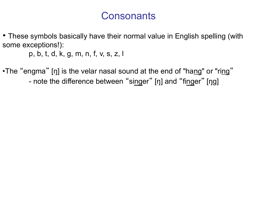• These symbols basically have their normal value in English spelling (with some exceptions!):

p, b, t, d, k, g, m, n, f, v, s, z, l

•The "engma" [ŋ] is the velar nasal sound at the end of "hang" or "ring" - note the difference between "singer" [ŋ] and "finger" [ŋg]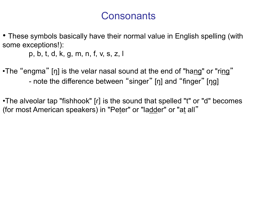• These symbols basically have their normal value in English spelling (with some exceptions!):

p, b, t, d, k, g, m, n, f, v, s, z, l

•The "engma" [ŋ] is the velar nasal sound at the end of "hang" or "ring" - note the difference between "singer" [ŋ] and "finger" [ŋg]

•The alveolar tap "fishhook" [ɾ] is the sound that spelled "t" or "d" becomes (for most American speakers) in "Peter" or "ladder" or "at all"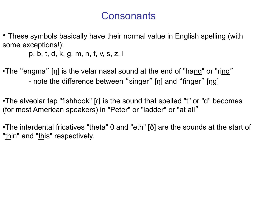• These symbols basically have their normal value in English spelling (with some exceptions!):

p, b, t, d, k, g, m, n, f, v, s, z, l

•The "engma" [ŋ] is the velar nasal sound at the end of "hang" or "ring" - note the difference between "singer" [ŋ] and "finger" [ŋg]

•The alveolar tap "fishhook" [ɾ] is the sound that spelled "t" or "d" becomes (for most American speakers) in "Peter" or "ladder" or "at all"

•The interdental fricatives "theta" θ and "eth" [ð] are the sounds at the start of "<u>th</u>in" and "<u>th</u>is" respectively.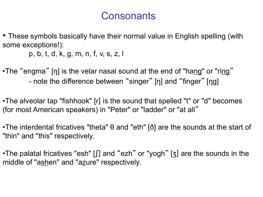• These symbols basically have their normal value in English spelling (with some exceptions!):

p, b, t, d, k, g, m, n, f, v, s, z, l

•The "engma" [ŋ] is the velar nasal sound at the end of "hang" or "ring" - note the difference between "singer" [ŋ] and "finger" [ŋg]

•The alveolar tap "fishhook" [ɾ] is the sound that spelled "t" or "d" becomes (for most American speakers) in "Peter" or "ladder" or "at all"

•The interdental fricatives "theta" θ and "eth" [ð] are the sounds at the start of "thin" and "this" respectively.

•The palatal fricatives "esh" [*f*] and "ezh" or "yogh" [3] are the sounds in the middle of "ashen" and "azure" respectively.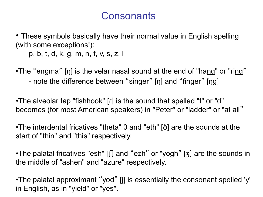• These symbols basically have their normal value in English spelling (with some exceptions!):

p, b, t, d, k, g, m, n, f, v, s, z, l

•The "engma" [ŋ] is the velar nasal sound at the end of "hang" or "ring" - note the difference between "singer" [ŋ] and "finger" [ŋg]

•The alveolar tap "fishhook" [ɾ] is the sound that spelled "t" or "d" becomes (for most American speakers) in "Peter" or "ladder" or "at all"

•The interdental fricatives "theta" θ and "eth" [ð] are the sounds at the start of "thin" and "this" respectively.

•The palatal fricatives "esh" [*ʃ*] and "ezh" or "yogh" [ʒ] are the sounds in the middle of "ashen" and "azure" respectively.

•The palatal approximant "yod" [j] is essentially the consonant spelled 'y' in English, as in " $y$ ield" or " $y$ es".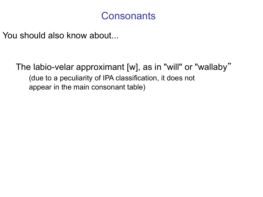You should also know about...

The labio-velar approximant [w], as in "will" or "wallaby" (due to a peculiarity of IPA classification, it does not appear in the main consonant table)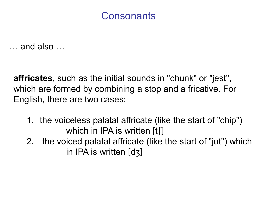… and also …

**affricates**, such as the initial sounds in "chunk" or "jest", which are formed by combining a stop and a fricative. For English, there are two cases:

- 1. the voiceless palatal affricate (like the start of "chip") which in IPA is written [tʃ]
- 2. the voiced palatal affricate (like the start of "jut") which in IPA is written [dʒ]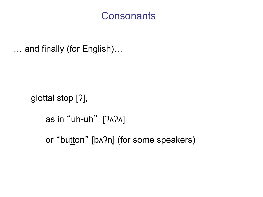… and finally (for English)…

glottal stop [ʔ],

as in "uh-uh" [ʔʌʔʌ]

or "button" [bʌʔn] (for some speakers)